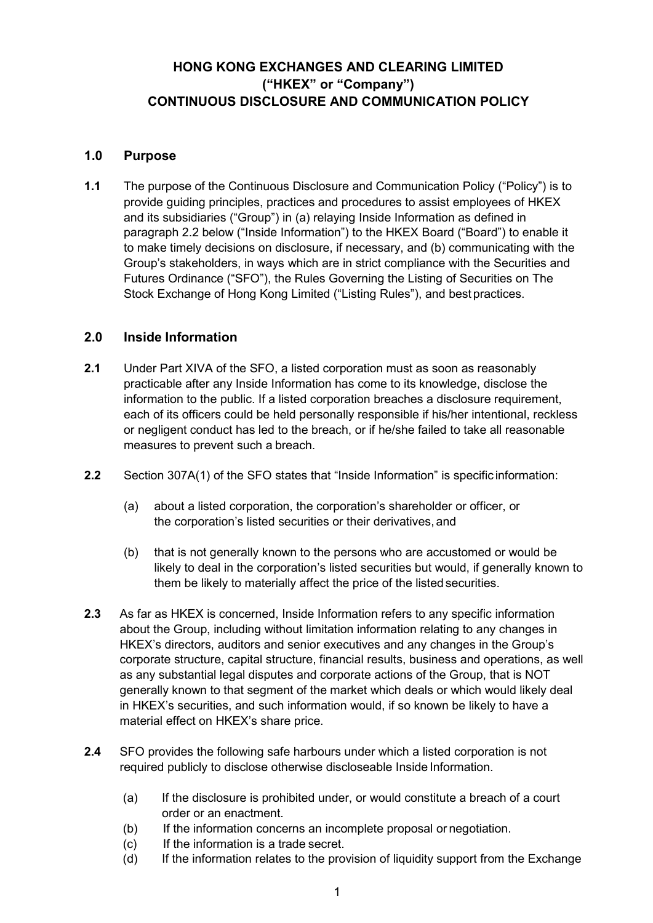# **HONG KONG EXCHANGES AND CLEARING LIMITED ("HKEX" or "Company") CONTINUOUS DISCLOSURE AND COMMUNICATION POLICY**

## **1.0 Purpose**

**1.1** The purpose of the Continuous Disclosure and Communication Policy ("Policy") is to provide guiding principles, practices and procedures to assist employees of HKEX and its subsidiaries ("Group") in (a) relaying Inside Information as defined in paragraph 2.2 below ("Inside Information") to the HKEX Board ("Board") to enable it to make timely decisions on disclosure, if necessary, and (b) communicating with the Group's stakeholders, in ways which are in strict compliance with the Securities and Futures Ordinance ("SFO"), the Rules Governing the Listing of Securities on The Stock Exchange of Hong Kong Limited ("Listing Rules"), and bestpractices.

## **2.0 Inside Information**

- **2.1** Under Part XIVA of the SFO, a listed corporation must as soon as reasonably practicable after any Inside Information has come to its knowledge, disclose the information to the public. If a listed corporation breaches a disclosure requirement, each of its officers could be held personally responsible if his/her intentional, reckless or negligent conduct has led to the breach, or if he/she failed to take all reasonable measures to prevent such a breach.
- **2.2** Section 307A(1) of the SFO states that "Inside Information" is specific information:
	- (a) about a listed corporation, the corporation's shareholder or officer, or the corporation's listed securities or their derivatives, and
	- (b) that is not generally known to the persons who are accustomed or would be likely to deal in the corporation's listed securities but would, if generally known to them be likely to materially affect the price of the listed securities.
- **2.3** As far as HKEX is concerned, Inside Information refers to any specific information about the Group, including without limitation information relating to any changes in HKEX's directors, auditors and senior executives and any changes in the Group's corporate structure, capital structure, financial results, business and operations, as well as any substantial legal disputes and corporate actions of the Group, that is NOT generally known to that segment of the market which deals or which would likely deal in HKEX's securities, and such information would, if so known be likely to have a material effect on HKEX's share price.
- **2.4** SFO provides the following safe harbours under which a listed corporation is not required publicly to disclose otherwise discloseable Inside Information.
	- (a) If the disclosure is prohibited under, or would constitute a breach of a court order or an enactment.
	- (b) If the information concerns an incomplete proposal or negotiation.
	- (c) If the information is a trade secret.
	- (d) If the information relates to the provision of liquidity support from the Exchange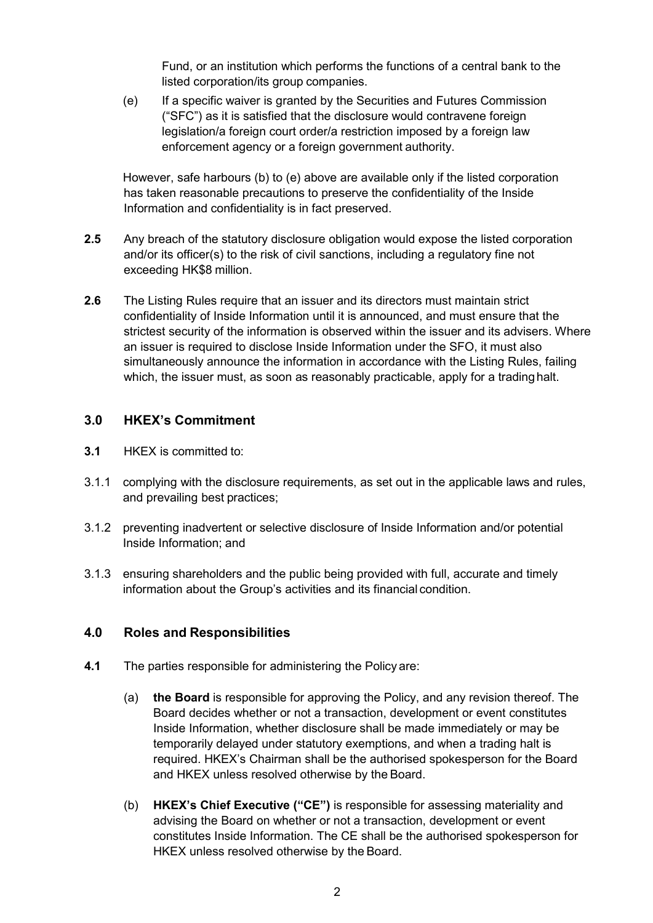Fund, or an institution which performs the functions of a central bank to the listed corporation/its group companies.

(e) If a specific waiver is granted by the Securities and Futures Commission ("SFC") as it is satisfied that the disclosure would contravene foreign legislation/a foreign court order/a restriction imposed by a foreign law enforcement agency or a foreign government authority.

However, safe harbours (b) to (e) above are available only if the listed corporation has taken reasonable precautions to preserve the confidentiality of the Inside Information and confidentiality is in fact preserved.

- **2.5** Any breach of the statutory disclosure obligation would expose the listed corporation and/or its officer(s) to the risk of civil sanctions, including a regulatory fine not exceeding HK\$8 million.
- **2.6** The Listing Rules require that an issuer and its directors must maintain strict confidentiality of Inside Information until it is announced, and must ensure that the strictest security of the information is observed within the issuer and its advisers. Where an issuer is required to disclose Inside Information under the SFO, it must also simultaneously announce the information in accordance with the Listing Rules, failing which, the issuer must, as soon as reasonably practicable, apply for a trading halt.

## **3.0 HKEX's Commitment**

- **3.1** HKEX is committed to:
- 3.1.1 complying with the disclosure requirements, as set out in the applicable laws and rules, and prevailing best practices;
- 3.1.2 preventing inadvertent or selective disclosure of Inside Information and/or potential Inside Information; and
- 3.1.3 ensuring shareholders and the public being provided with full, accurate and timely information about the Group's activities and its financial condition.

## **4.0 Roles and Responsibilities**

- **4.1** The parties responsible for administering the Policy are:
	- (a) **the Board** is responsible for approving the Policy, and any revision thereof. The Board decides whether or not a transaction, development or event constitutes Inside Information, whether disclosure shall be made immediately or may be temporarily delayed under statutory exemptions, and when a trading halt is required. HKEX's Chairman shall be the authorised spokesperson for the Board and HKEX unless resolved otherwise by the Board.
	- (b) **HKEX's Chief Executive ("CE")** is responsible for assessing materiality and advising the Board on whether or not a transaction, development or event constitutes Inside Information. The CE shall be the authorised spokesperson for HKEX unless resolved otherwise by the Board.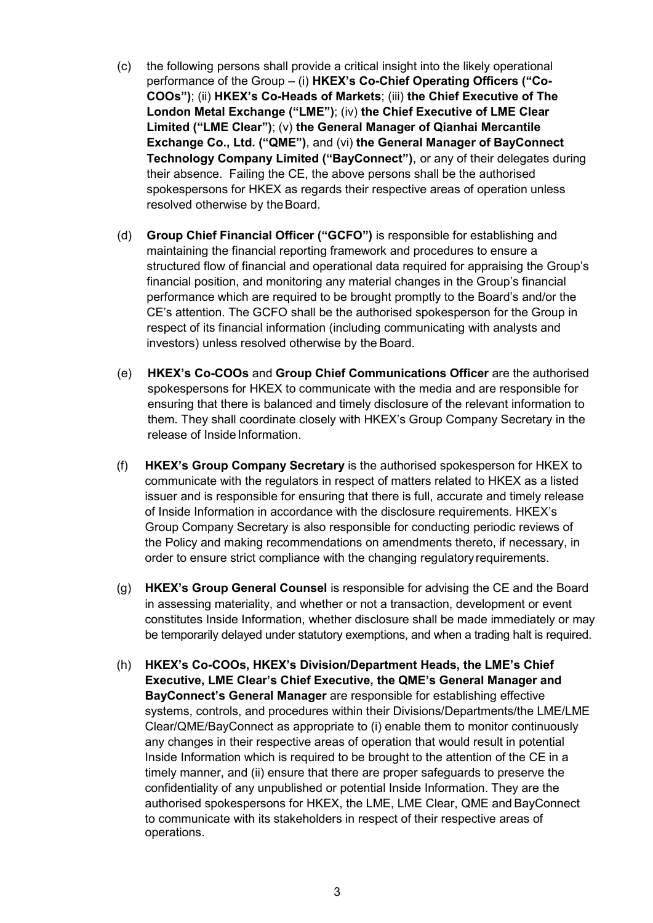- (c) the following persons shall provide a critical insight into the likely operational performance of the Group – (i) **HKEX's Co-Chief Operating Officers ("Co-COOs")**; (ii) **HKEX's Co-Heads of Markets**; (iii) **the Chief Executive of The London Metal Exchange ("LME")**; (iv) **the Chief Executive of LME Clear Limited ("LME Clear")**; (v) **the General Manager of Qianhai Mercantile Exchange Co., Ltd. ("QME")**, and (vi) **the General Manager of BayConnect Technology Company Limited ("BayConnect")**, or any of their delegates during their absence. Failing the CE, the above persons shall be the authorised spokespersons for HKEX as regards their respective areas of operation unless resolved otherwise by the Board.
- (d) **Group Chief Financial Officer ("GCFO")** is responsible for establishing and maintaining the financial reporting framework and procedures to ensure a structured flow of financial and operational data required for appraising the Group's financial position, and monitoring any material changes in the Group's financial performance which are required to be brought promptly to the Board's and/or the CE's attention. The GCFO shall be the authorised spokesperson for the Group in respect of its financial information (including communicating with analysts and investors) unless resolved otherwise by the Board.
- (e) **HKEX's Co-COOs** and **Group Chief Communications Officer** are the authorised spokespersons for HKEX to communicate with the media and are responsible for ensuring that there is balanced and timely disclosure of the relevant information to them. They shall coordinate closely with HKEX's Group Company Secretary in the release of Inside Information.
- (f) **HKEX's Group Company Secretary** is the authorised spokesperson for HKEX to communicate with the regulators in respect of matters related to HKEX as a listed issuer and is responsible for ensuring that there is full, accurate and timely release of Inside Information in accordance with the disclosure requirements. HKEX's Group Company Secretary is also responsible for conducting periodic reviews of the Policy and making recommendations on amendments thereto, if necessary, in order to ensure strict compliance with the changing regulatory requirements.
- (g) **HKEX's Group General Counsel** is responsible for advising the CE and the Board in assessing materiality, and whether or not a transaction, development or event constitutes Inside Information, whether disclosure shall be made immediately or may be temporarily delayed under statutory exemptions, and when a trading halt is required.
- (h) **HKEX's Co-COOs, HKEX's Division/Department Heads, the LME's Chief Executive, LME Clear's Chief Executive, the QME's General Manager and BayConnect's General Manager** are responsible for establishing effective systems, controls, and procedures within their Divisions/Departments/the LME/LME Clear/QME/BayConnect as appropriate to (i) enable them to monitor continuously any changes in their respective areas of operation that would result in potential Inside Information which is required to be brought to the attention of the CE in a timely manner, and (ii) ensure that there are proper safeguards to preserve the confidentiality of any unpublished or potential Inside Information. They are the authorised spokespersons for HKEX, the LME, LME Clear, QME and BayConnect to communicate with its stakeholders in respect of their respective areas of operations.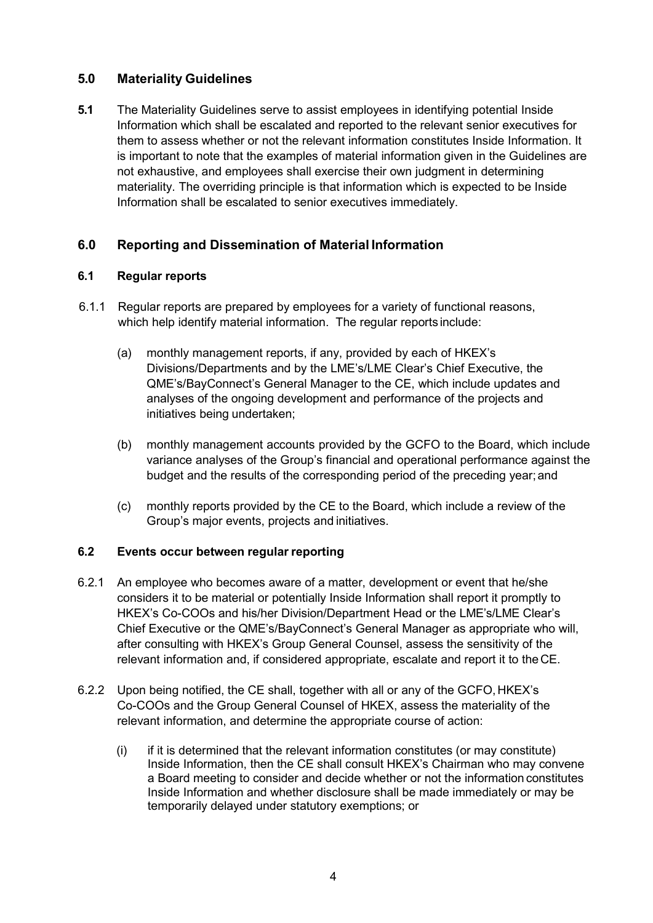## **5.0 Materiality Guidelines**

**5.1** The Materiality Guidelines serve to assist employees in identifying potential Inside Information which shall be escalated and reported to the relevant senior executives for them to assess whether or not the relevant information constitutes Inside Information. It is important to note that the examples of material information given in the Guidelines are not exhaustive, and employees shall exercise their own judgment in determining materiality. The overriding principle is that information which is expected to be Inside Information shall be escalated to senior executives immediately.

## **6.0 Reporting and Dissemination of Material Information**

## **6.1 Regular reports**

- 6.1.1 Regular reports are prepared by employees for a variety of functional reasons, which help identify material information. The regular reports include:
	- (a) monthly management reports, if any, provided by each of HKEX's Divisions/Departments and by the LME's/LME Clear's Chief Executive, the QME's/BayConnect's General Manager to the CE, which include updates and analyses of the ongoing development and performance of the projects and initiatives being undertaken;
	- (b) monthly management accounts provided by the GCFO to the Board, which include variance analyses of the Group's financial and operational performance against the budget and the results of the corresponding period of the preceding year;and
	- (c) monthly reports provided by the CE to the Board, which include a review of the Group's major events, projects and initiatives.

## **6.2 Events occur between regular reporting**

- 6.2.1 An employee who becomes aware of a matter, development or event that he/she considers it to be material or potentially Inside Information shall report it promptly to HKEX's Co-COOs and his/her Division/Department Head or the LME's/LME Clear's Chief Executive or the QME's/BayConnect's General Manager as appropriate who will, after consulting with HKEX's Group General Counsel, assess the sensitivity of the relevant information and, if considered appropriate, escalate and report it to theCE.
- 6.2.2 Upon being notified, the CE shall, together with all or any of the GCFO, HKEX's Co-COOs and the Group General Counsel of HKEX, assess the materiality of the relevant information, and determine the appropriate course of action:
	- $(i)$  if it is determined that the relevant information constitutes (or may constitute) Inside Information, then the CE shall consult HKEX's Chairman who may convene a Board meeting to consider and decide whether or not the information constitutes Inside Information and whether disclosure shall be made immediately or may be temporarily delayed under statutory exemptions; or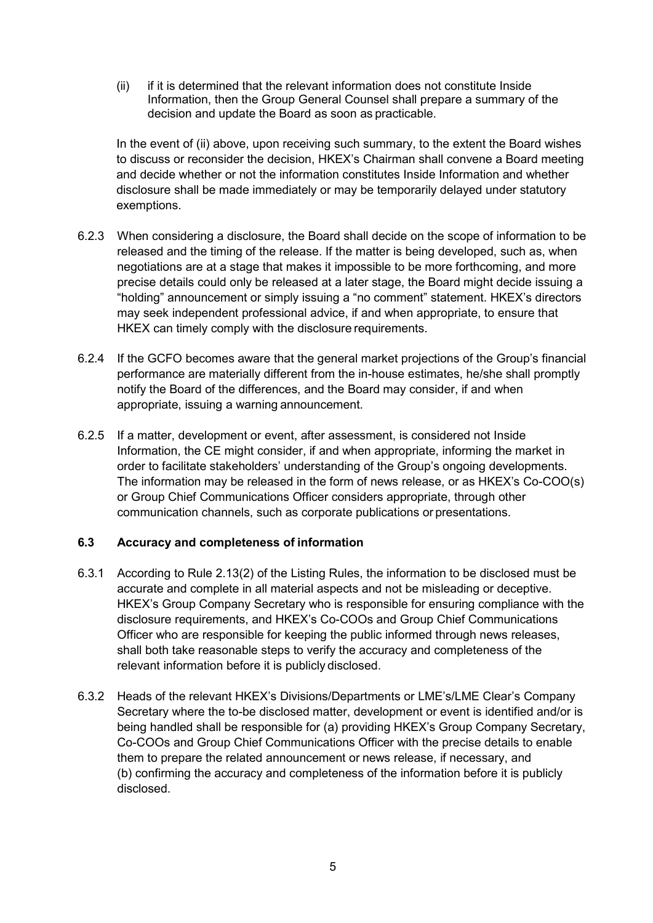(ii) if it is determined that the relevant information does not constitute Inside Information, then the Group General Counsel shall prepare a summary of the decision and update the Board as soon as practicable.

In the event of (ii) above, upon receiving such summary, to the extent the Board wishes to discuss or reconsider the decision, HKEX's Chairman shall convene a Board meeting and decide whether or not the information constitutes Inside Information and whether disclosure shall be made immediately or may be temporarily delayed under statutory exemptions.

- 6.2.3 When considering a disclosure, the Board shall decide on the scope of information to be released and the timing of the release. If the matter is being developed, such as, when negotiations are at a stage that makes it impossible to be more forthcoming, and more precise details could only be released at a later stage, the Board might decide issuing a "holding" announcement or simply issuing a "no comment" statement. HKEX's directors may seek independent professional advice, if and when appropriate, to ensure that HKEX can timely comply with the disclosure requirements.
- 6.2.4 If the GCFO becomes aware that the general market projections of the Group's financial performance are materially different from the in-house estimates, he/she shall promptly notify the Board of the differences, and the Board may consider, if and when appropriate, issuing a warning announcement.
- 6.2.5 If a matter, development or event, after assessment, is considered not Inside Information, the CE might consider, if and when appropriate, informing the market in order to facilitate stakeholders' understanding of the Group's ongoing developments. The information may be released in the form of news release, or as HKEX's Co-COO(s) or Group Chief Communications Officer considers appropriate, through other communication channels, such as corporate publications or presentations.

## **6.3 Accuracy and completeness of information**

- 6.3.1 According to Rule 2.13(2) of the Listing Rules, the information to be disclosed must be accurate and complete in all material aspects and not be misleading or deceptive. HKEX's Group Company Secretary who is responsible for ensuring compliance with the disclosure requirements, and HKEX's Co-COOs and Group Chief Communications Officer who are responsible for keeping the public informed through news releases, shall both take reasonable steps to verify the accuracy and completeness of the relevant information before it is publicly disclosed.
- 6.3.2 Heads of the relevant HKEX's Divisions/Departments or LME's/LME Clear's Company Secretary where the to-be disclosed matter, development or event is identified and/or is being handled shall be responsible for (a) providing HKEX's Group Company Secretary, Co-COOs and Group Chief Communications Officer with the precise details to enable them to prepare the related announcement or news release, if necessary, and (b) confirming the accuracy and completeness of the information before it is publicly disclosed.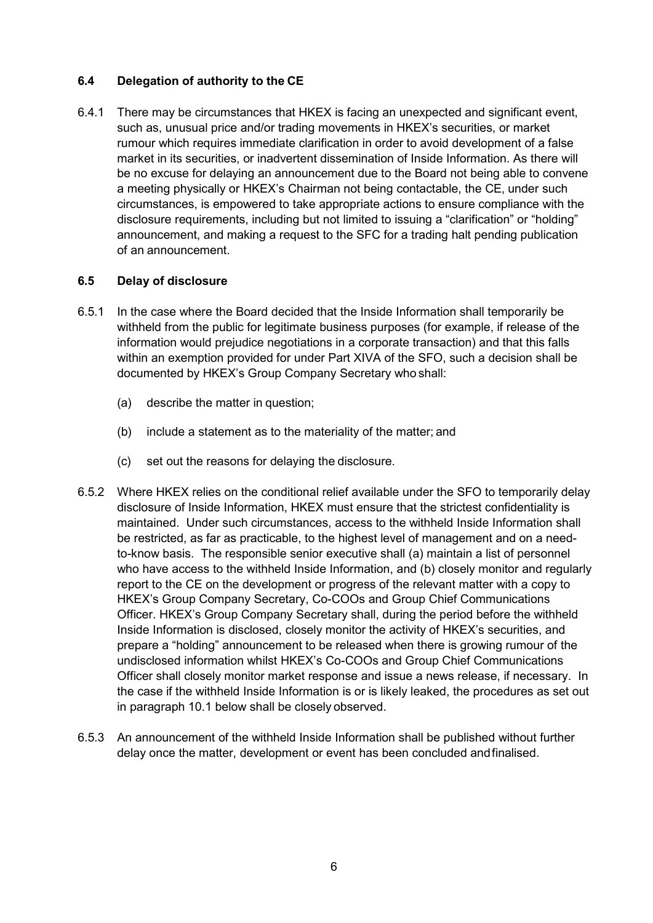## **6.4 Delegation of authority to the CE**

6.4.1 There may be circumstances that HKEX is facing an unexpected and significant event, such as, unusual price and/or trading movements in HKEX's securities, or market rumour which requires immediate clarification in order to avoid development of a false market in its securities, or inadvertent dissemination of Inside Information. As there will be no excuse for delaying an announcement due to the Board not being able to convene a meeting physically or HKEX's Chairman not being contactable, the CE, under such circumstances, is empowered to take appropriate actions to ensure compliance with the disclosure requirements, including but not limited to issuing a "clarification" or "holding" announcement, and making a request to the SFC for a trading halt pending publication of an announcement.

#### **6.5 Delay of disclosure**

- 6.5.1 In the case where the Board decided that the Inside Information shall temporarily be withheld from the public for legitimate business purposes (for example, if release of the information would prejudice negotiations in a corporate transaction) and that this falls within an exemption provided for under Part XIVA of the SFO, such a decision shall be documented by HKEX's Group Company Secretary who shall:
	- (a) describe the matter in question;
	- (b) include a statement as to the materiality of the matter; and
	- (c) set out the reasons for delaying the disclosure.
- 6.5.2 Where HKEX relies on the conditional relief available under the SFO to temporarily delay disclosure of Inside Information, HKEX must ensure that the strictest confidentiality is maintained. Under such circumstances, access to the withheld Inside Information shall be restricted, as far as practicable, to the highest level of management and on a needto-know basis. The responsible senior executive shall (a) maintain a list of personnel who have access to the withheld Inside Information, and (b) closely monitor and regularly report to the CE on the development or progress of the relevant matter with a copy to HKEX's Group Company Secretary, Co-COOs and Group Chief Communications Officer. HKEX's Group Company Secretary shall, during the period before the withheld Inside Information is disclosed, closely monitor the activity of HKEX's securities, and prepare a "holding" announcement to be released when there is growing rumour of the undisclosed information whilst HKEX's Co-COOs and Group Chief Communications Officer shall closely monitor market response and issue a news release, if necessary. In the case if the withheld Inside Information is or is likely leaked, the procedures as set out in paragraph 10.1 below shall be closely observed.
- 6.5.3 An announcement of the withheld Inside Information shall be published without further delay once the matter, development or event has been concluded andfinalised.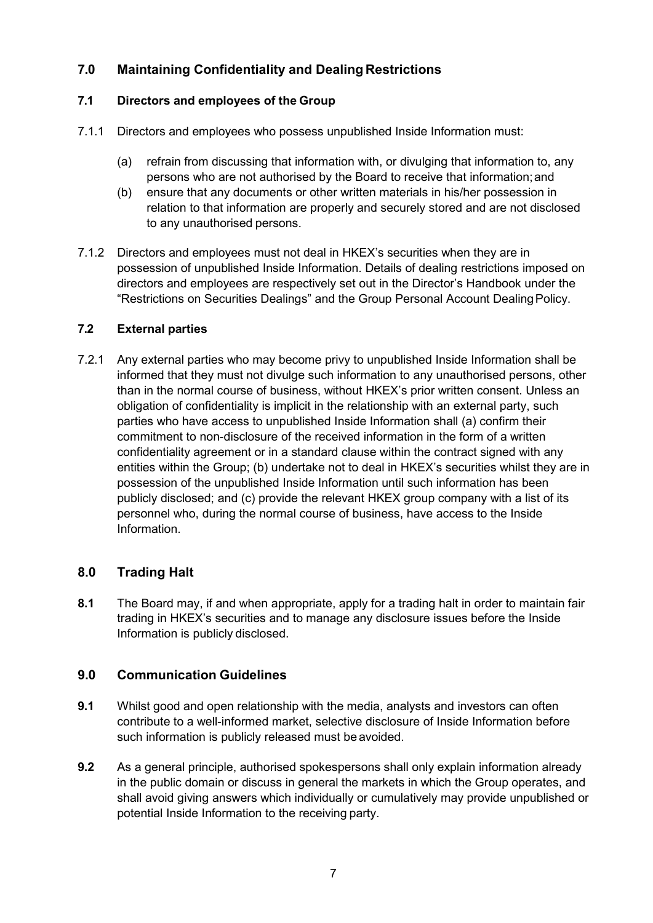# **7.0 Maintaining Confidentiality and Dealing Restrictions**

## **7.1 Directors and employees of the Group**

- 7.1.1 Directors and employees who possess unpublished Inside Information must:
	- (a) refrain from discussing that information with, or divulging that information to, any persons who are not authorised by the Board to receive that information;and
	- (b) ensure that any documents or other written materials in his/her possession in relation to that information are properly and securely stored and are not disclosed to any unauthorised persons.
- 7.1.2 Directors and employees must not deal in HKEX's securities when they are in possession of unpublished Inside Information. Details of dealing restrictions imposed on directors and employees are respectively set out in the Director's Handbook under the "Restrictions on Securities Dealings" and the Group Personal Account DealingPolicy.

## **7.2 External parties**

7.2.1 Any external parties who may become privy to unpublished Inside Information shall be informed that they must not divulge such information to any unauthorised persons, other than in the normal course of business, without HKEX's prior written consent. Unless an obligation of confidentiality is implicit in the relationship with an external party, such parties who have access to unpublished Inside Information shall (a) confirm their commitment to non-disclosure of the received information in the form of a written confidentiality agreement or in a standard clause within the contract signed with any entities within the Group; (b) undertake not to deal in HKEX's securities whilst they are in possession of the unpublished Inside Information until such information has been publicly disclosed; and (c) provide the relevant HKEX group company with a list of its personnel who, during the normal course of business, have access to the Inside Information.

## **8.0 Trading Halt**

**8.1** The Board may, if and when appropriate, apply for a trading halt in order to maintain fair trading in HKEX's securities and to manage any disclosure issues before the Inside Information is publicly disclosed.

## **9.0 Communication Guidelines**

- **9.1** Whilst good and open relationship with the media, analysts and investors can often contribute to a well-informed market, selective disclosure of Inside Information before such information is publicly released must be avoided.
- **9.2** As a general principle, authorised spokespersons shall only explain information already in the public domain or discuss in general the markets in which the Group operates, and shall avoid giving answers which individually or cumulatively may provide unpublished or potential Inside Information to the receiving party.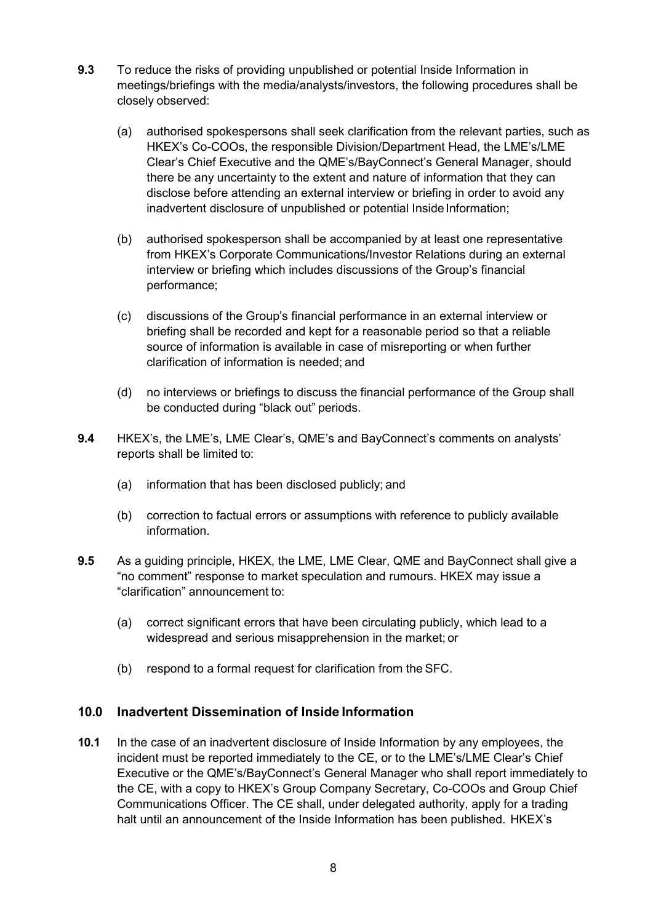- **9.3** To reduce the risks of providing unpublished or potential Inside Information in meetings/briefings with the media/analysts/investors, the following procedures shall be closely observed:
	- (a) authorised spokespersons shall seek clarification from the relevant parties, such as HKEX's Co-COOs, the responsible Division/Department Head, the LME's/LME Clear's Chief Executive and the QME's/BayConnect's General Manager, should there be any uncertainty to the extent and nature of information that they can disclose before attending an external interview or briefing in order to avoid any inadvertent disclosure of unpublished or potential Inside Information;
	- (b) authorised spokesperson shall be accompanied by at least one representative from HKEX's Corporate Communications/Investor Relations during an external interview or briefing which includes discussions of the Group's financial performance;
	- (c) discussions of the Group's financial performance in an external interview or briefing shall be recorded and kept for a reasonable period so that a reliable source of information is available in case of misreporting or when further clarification of information is needed; and
	- (d) no interviews or briefings to discuss the financial performance of the Group shall be conducted during "black out" periods.
- **9.4** HKEX's, the LME's, LME Clear's, QME's and BayConnect's comments on analysts' reports shall be limited to:
	- (a) information that has been disclosed publicly; and
	- (b) correction to factual errors or assumptions with reference to publicly available information.
- **9.5** As a guiding principle, HKEX, the LME, LME Clear, QME and BayConnect shall give a "no comment" response to market speculation and rumours. HKEX may issue a "clarification" announcement to:
	- (a) correct significant errors that have been circulating publicly, which lead to a widespread and serious misapprehension in the market; or
	- (b) respond to a formal request for clarification from the SFC.

## **10.0 Inadvertent Dissemination of Inside Information**

**10.1** In the case of an inadvertent disclosure of Inside Information by any employees, the incident must be reported immediately to the CE, or to the LME's/LME Clear's Chief Executive or the QME's/BayConnect's General Manager who shall report immediately to the CE, with a copy to HKEX's Group Company Secretary, Co-COOs and Group Chief Communications Officer. The CE shall, under delegated authority, apply for a trading halt until an announcement of the Inside Information has been published. HKEX's